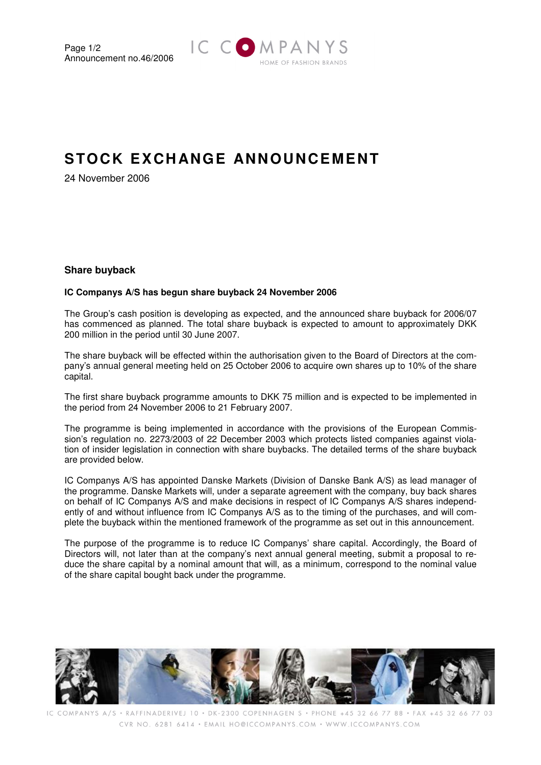

# **STOCK EXCH ANGE ANNOUNCEMENT**

24 November 2006

## **Share buyback**

### **IC Companys A/S has begun share buyback 24 November 2006**

The Group's cash position is developing as expected, and the announced share buyback for 2006/07 has commenced as planned. The total share buyback is expected to amount to approximately DKK 200 million in the period until 30 June 2007.

The share buyback will be effected within the authorisation given to the Board of Directors at the company's annual general meeting held on 25 October 2006 to acquire own shares up to 10% of the share capital.

The first share buyback programme amounts to DKK 75 million and is expected to be implemented in the period from 24 November 2006 to 21 February 2007.

The programme is being implemented in accordance with the provisions of the European Commission's regulation no. 2273/2003 of 22 December 2003 which protects listed companies against violation of insider legislation in connection with share buybacks. The detailed terms of the share buyback are provided below.

IC Companys A/S has appointed Danske Markets (Division of Danske Bank A/S) as lead manager of the programme. Danske Markets will, under a separate agreement with the company, buy back shares on behalf of IC Companys A/S and make decisions in respect of IC Companys A/S shares independently of and without influence from IC Companys A/S as to the timing of the purchases, and will complete the buyback within the mentioned framework of the programme as set out in this announcement.

The purpose of the programme is to reduce IC Companys' share capital. Accordingly, the Board of Directors will, not later than at the company's next annual general meeting, submit a proposal to reduce the share capital by a nominal amount that will, as a minimum, correspond to the nominal value of the share capital bought back under the programme.



IC COMPANYS A/S · RAFFINADERIVEJ 10 · DK-2300 COPENHAGEN S · PHONE +45 32 66 77 88 · FAX +45 32 66 77 03 CVR NO. 6281 6414 · EMAIL HO@ICCOMPANYS.COM · WWW.ICCOMPANYS.COM